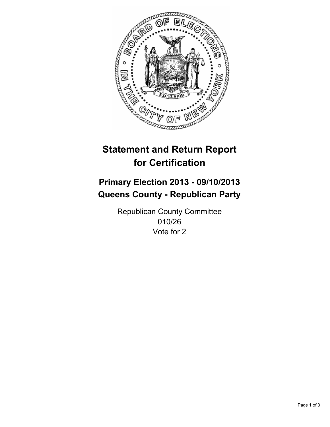

# **Statement and Return Report for Certification**

# **Primary Election 2013 - 09/10/2013 Queens County - Republican Party**

Republican County Committee 010/26 Vote for 2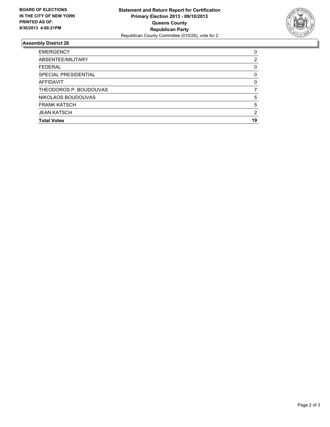

## **Assembly District 26**

| <b>EMERGENCY</b>       | 0        |
|------------------------|----------|
| ABSENTEE/MILITARY      | 2        |
| <b>FEDERAL</b>         | 0        |
| SPECIAL PRESIDENTIAL   | 0        |
| AFFIDAVIT              | $\Omega$ |
| THEODOROS P. BOUDOUVAS |          |
| NIKOLAOS BOUDOUVAS     | 5        |
| <b>FRANK KATSCH</b>    | 5        |
| <b>JEAN KATSCH</b>     | 2        |
| <b>Total Votes</b>     | 19       |